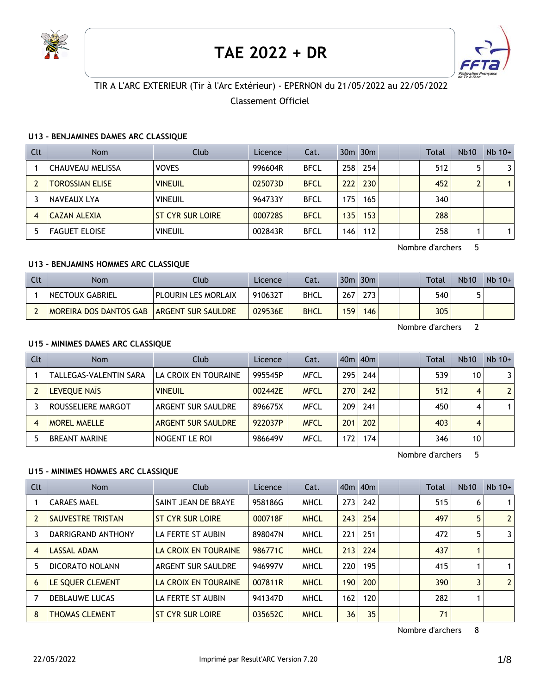

# **TAE 2022 + DR**



# TIR A L'ARC EXTERIEUR (Tir à l'Arc Extérieur) - EPERNON du 21/05/2022 au 22/05/2022

## Classement Officiel

## **U13 - BENJAMINES DAMES ARC CLASSIQUE**

| Clt            | <b>Nom</b>             | Club                    | Licence | Cat.        |     | 30 <sub>m</sub> 30 <sub>m</sub> |  | <b>Total</b> | <b>Nb10</b> | $Nb$ 10+ |
|----------------|------------------------|-------------------------|---------|-------------|-----|---------------------------------|--|--------------|-------------|----------|
|                | CHAUVEAU MELISSA       | <b>VOVES</b>            | 996604R | <b>BFCL</b> | 258 | 254                             |  | 512          |             |          |
|                | <b>TOROSSIAN ELISE</b> | <b>VINEUIL</b>          | 025073D | <b>BFCL</b> | 222 | 230                             |  | 452          |             |          |
|                | NAVEAUX LYA            | <b>VINEUIL</b>          | 964733Y | <b>BFCL</b> | 175 | 165                             |  | 340          |             |          |
| $\overline{A}$ | CAZAN ALEXIA           | <b>ST CYR SUR LOIRE</b> | 0007285 | <b>BFCL</b> | 135 | 153                             |  | 288          |             |          |
|                | <b>FAGUET ELOISE</b>   | <b>VINEUIL</b>          | 002843R | <b>BFCL</b> | 146 | 112                             |  | 258          |             |          |

Nombre d'archers 5

## **U13 - BENJAMINS HOMMES ARC CLASSIQUE**

| Clt <sup>-</sup> | <b>Nom</b>             | Club.                      | Licence | Cat.        |     | $30m$ $30m$ |  | Total | <b>Nb10</b> | $Nb$ 10+ |
|------------------|------------------------|----------------------------|---------|-------------|-----|-------------|--|-------|-------------|----------|
|                  | NECTOUX GABRIEL        | <b>PLOURIN LES MORLAIX</b> | 910632T | <b>BHCL</b> | 267 | 273         |  | 540   |             |          |
|                  | MOREIRA DOS DANTOS GAB | <b>ARGENT SUR SAULDRE</b>  | 029536E | <b>BHCL</b> | 159 | 146         |  | 305   |             |          |

Nombre d'archers 2

## **U15 - MINIMES DAMES ARC CLASSIQUE**

| Clt | <b>Nom</b>             | Club                 | Licence | Cat.        |       | 40 <sub>m</sub> 40 <sub>m</sub> |  | Total | <b>Nb10</b> | $Nb$ 10+       |
|-----|------------------------|----------------------|---------|-------------|-------|---------------------------------|--|-------|-------------|----------------|
|     | TALLEGAS-VALENTIN SARA | LA CROIX EN TOURAINE | 995545P | <b>MFCL</b> | 295 l | 244                             |  | 539   | 10          | 31             |
|     | LEVEOUE NAIS           | <b>VINEUIL</b>       | 002442E | <b>MFCL</b> | 270 I | 242                             |  | 512   | 4           | 2 <sup>1</sup> |
|     | ROUSSELIERE MARGOT     | ARGENT SUR SAULDRE   | 896675X | <b>MFCL</b> | 209   | 241                             |  | 450   | 4           |                |
| 4   | <b>MOREL MAELLE</b>    | ARGENT SUR SAULDRE   | 922037P | <b>MFCL</b> | 201   | 202                             |  | 403   | 4           |                |
|     | <b>BREANT MARINE</b>   | NOGENT LE ROI        | 986649V | <b>MFCL</b> | 172   | 174                             |  | 346   | 10          |                |

Nombre d'archers 5

## **U15 - MINIMES HOMMES ARC CLASSIQUE**

| <b>Clt</b> | <b>Nom</b>            | Club                    | Licence | Cat.        |     | 40 <sub>m</sub> 40 <sub>m</sub> |  | Total | Nb10 | $Nb$ 10+       |
|------------|-----------------------|-------------------------|---------|-------------|-----|---------------------------------|--|-------|------|----------------|
|            | <b>CARAES MAEL</b>    | SAINT JEAN DE BRAYE     | 958186G | <b>MHCL</b> | 273 | 242                             |  | 515   | 6    | $\mathbf 1$    |
|            | SAUVESTRE TRISTAN     | <b>ST CYR SUR LOIRE</b> | 000718F | <b>MHCL</b> | 243 | 254                             |  | 497   | 5    | $\overline{2}$ |
| 3          | DARRIGRAND ANTHONY    | LA FERTE ST AUBIN       | 898047N | <b>MHCL</b> | 221 | 251                             |  | 472   | 5    | 3              |
| 4          | LASSAL ADAM           | LA CROIX EN TOURAINE    | 986771C | <b>MHCL</b> | 213 | 224                             |  | 437   |      |                |
| 5          | DICORATO NOLANN       | ARGENT SUR SAULDRE      | 946997V | <b>MHCL</b> | 220 | 195                             |  | 415   |      | $\mathbf 1$    |
| 6          | LE SOUER CLEMENT      | LA CROIX EN TOURAINE    | 007811R | <b>MHCL</b> | 190 | 200                             |  | 390   |      | $\overline{2}$ |
|            | <b>DEBLAUWE LUCAS</b> | LA FERTE ST AUBIN       | 941347D | <b>MHCL</b> | 162 | 120                             |  | 282   |      |                |
| 8          | <b>THOMAS CLEMENT</b> | <b>ST CYR SUR LOIRE</b> | 035652C | <b>MHCL</b> | 36  | 35                              |  | 71    |      |                |

Nombre d'archers 8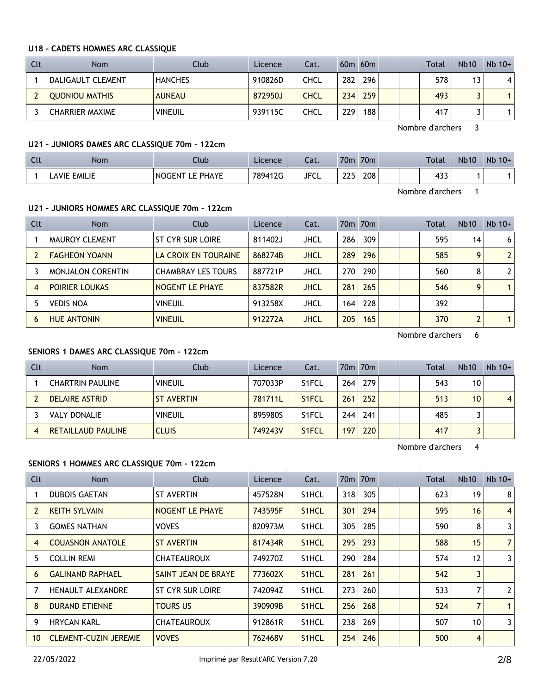#### **U18 - CADETS HOMMES ARC CLASSIQUE**

| Clt | <b>Nom</b>             | Club           | Licence | Cat.        |                  | $60m$ $60m$ |  | <b>Total</b> | <b>Nb10</b> | $Nb$ 10+ |
|-----|------------------------|----------------|---------|-------------|------------------|-------------|--|--------------|-------------|----------|
|     | DALIGAULT CLEMENT      | <b>HANCHES</b> | 910826D | CHCL        | 282 <sub>1</sub> | 296         |  | 578          | 13          | 4        |
|     | <b>OUONIOU MATHIS</b>  | <b>AUNEAU</b>  | 872950J | <b>CHCL</b> | 234              | 259         |  | 493          |             |          |
|     | <b>CHARRIER MAXIME</b> | <b>VINEUIL</b> | 939115C | CHCL        | 229              | 188         |  | 417          |             |          |

Nombre d'archers 3

## **U21 - JUNIORS DAMES ARC CLASSIQUE 70m - 122cm**

| $C1+$<br><b>LIL</b> | Non.                  | Llub                 | Licence | $-1$<br>-dl.       | 70 <sub>m</sub> | 70 <sub>m</sub> |  | Total         | <b>Nb10</b> | Nb<br>$10+$ |
|---------------------|-----------------------|----------------------|---------|--------------------|-----------------|-----------------|--|---------------|-------------|-------------|
|                     | EMILIE<br><b>AVIE</b> | PHAYE<br>NO.<br>÷FNI | 789412G | <b>IECI</b><br>ᆚ 고 | つつに<br>---      | 208             |  | $\sim$<br>1JJ |             |             |

Nombre d'archers 1

## **U21 - JUNIORS HOMMES ARC CLASSIQUE 70m - 122cm**

| Clt            | <b>Nom</b>               | Club                      | Licence | Cat.        |     | 70 <sub>m</sub> 70 <sub>m</sub> |  | Total | <b>Nb10</b> | $Nb$ 10+       |
|----------------|--------------------------|---------------------------|---------|-------------|-----|---------------------------------|--|-------|-------------|----------------|
|                | <b>MAUROY CLEMENT</b>    | ST CYR SUR LOIRE          | 811402J | JHCL        | 286 | 309                             |  | 595   | 14          | 6              |
|                | <b>FAGHEON YOANN</b>     | LA CROIX EN TOURAINE      | 868274B | <b>JHCL</b> | 289 | 296                             |  | 585   | 9           | $\overline{2}$ |
|                | <b>MONJALON CORENTIN</b> | <b>CHAMBRAY LES TOURS</b> | 887721P | JHCL        | 270 | 290                             |  | 560   | 8           | 2              |
| $\overline{4}$ | <b>POIRIER LOUKAS</b>    | NOGENT LE PHAYE           | 837582R | <b>JHCL</b> | 281 | 265                             |  | 546   | q           |                |
|                | <b>VEDIS NOA</b>         | <b>VINEUIL</b>            | 913258X | JHCL        | 164 | 228                             |  | 392   |             |                |
| 6              | <b>HUE ANTONIN</b>       | <b>VINEUIL</b>            | 912272A | <b>JHCL</b> | 205 | 165                             |  | 370   |             | 1              |

Nombre d'archers 6

## **SENIORS 1 DAMES ARC CLASSIQUE 70m - 122cm**

| Clt | <b>Nom</b>                | Club              | Licence | Cat.               |                  | 70m 70m |  | Total | <b>Nb10</b>     | $Nb$ 10+       |
|-----|---------------------------|-------------------|---------|--------------------|------------------|---------|--|-------|-----------------|----------------|
|     | <b>CHARTRIN PAULINE</b>   | <b>VINEUIL</b>    | 707033P | S1FCL              | 264              | 279     |  | 543   | 10              |                |
|     | DELAIRE ASTRID            | <b>ST AVERTIN</b> | 781711L | S <sub>1</sub> FCL | 261              | 252     |  | 513   | 10 <sup>1</sup> | $\overline{4}$ |
|     | <b>VALY DONALIE</b>       | <b>VINEUIL</b>    | 895980S | S <sub>1</sub> FCL | 244 <sub>1</sub> | 241     |  | 485   |                 |                |
|     | <b>RETAILLAUD PAULINE</b> | <b>CLUIS</b>      | 749243V | S <sub>1</sub> FCL | 197              | 220     |  | 417   |                 |                |

Nombre d'archers 4

## **SENIORS 1 HOMMES ARC CLASSIQUE 70m - 122cm**

| Clt            | Nom                          | Club                | Licence | Cat.               |     | 70m 70m |  | Total | <b>Nb10</b>    | $Nb$ 10+       |
|----------------|------------------------------|---------------------|---------|--------------------|-----|---------|--|-------|----------------|----------------|
|                | <b>DUBOIS GAETAN</b>         | <b>ST AVERTIN</b>   | 457528N | S <sub>1</sub> HCL | 318 | 305     |  | 623   | 19             | 8              |
| $\overline{2}$ | <b>KEITH SYLVAIN</b>         | NOGENT LE PHAYE     | 743595F | S <sub>1</sub> HCL | 301 | 294     |  | 595   | 16             | $\overline{4}$ |
| 3              | <b>GOMES NATHAN</b>          | <b>VOVES</b>        | 820973M | S <sub>1</sub> HCL | 305 | 285     |  | 590   | 8              | 3              |
| 4              | <b>COUASNON ANATOLE</b>      | <b>ST AVERTIN</b>   | 817434R | S <sub>1</sub> HCL | 295 | 293     |  | 588   | 15             | $\overline{7}$ |
| 5              | <b>COLLIN REMI</b>           | <b>CHATEAUROUX</b>  | 749270Z | S <sub>1</sub> HCL | 290 | 284     |  | 574   | 12             | 3              |
| 6              | <b>GALINAND RAPHAEL</b>      | SAINT JEAN DE BRAYE | 773602X | S <sub>1</sub> HCL | 281 | 261     |  | 542   | 3              |                |
|                | <b>HENAULT ALEXANDRE</b>     | ST CYR SUR LOIRE    | 742094Z | S <sub>1</sub> HCL | 273 | 260     |  | 533   | 7              | $\mathbf{2}$   |
| 8              | <b>DURAND ETIENNE</b>        | <b>TOURS US</b>     | 390909B | S <sub>1</sub> HCL | 256 | 268     |  | 524   | 7              | $\mathbf{1}$   |
| 9              | <b>HRYCAN KARL</b>           | <b>CHATEAUROUX</b>  | 912861R | S <sub>1</sub> HCL | 238 | 269     |  | 507   | 10             | 3              |
| 10             | <b>CLEMENT-CUZIN JEREMIE</b> | <b>VOVES</b>        | 762468V | S <sub>1</sub> HCL | 254 | 246     |  | 500   | $\overline{4}$ |                |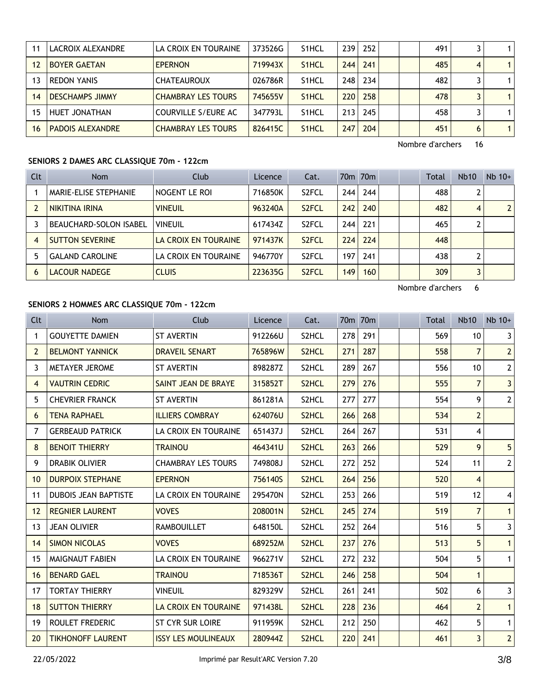|    | LACROIX ALEXANDRE       | LA CROIX EN TOURAINE      | 373526G | S <sub>1</sub> HCL | 239 | 252 |  | 491 |   | 1.           |
|----|-------------------------|---------------------------|---------|--------------------|-----|-----|--|-----|---|--------------|
| 12 | <b>BOYER GAETAN</b>     | <b>EPERNON</b>            | 719943X | S <sub>1</sub> HCL | 244 | 241 |  | 485 | 4 | $\mathbf{1}$ |
|    | <b>REDON YANIS</b>      | <b>CHATEAUROUX</b>        | 026786R | S <sub>1</sub> HCL | 248 | 234 |  | 482 |   | 1            |
| 14 | <b>DESCHAMPS JIMMY</b>  | <b>CHAMBRAY LES TOURS</b> | 745655V | S <sub>1</sub> HCL | 220 | 258 |  | 478 |   | $\mathbf{1}$ |
| 15 | HUET JONATHAN           | COURVILLE S/EURE AC       | 347793L | S <sub>1</sub> HCL | 213 | 245 |  | 458 |   | 1            |
| 16 | <b>PADOIS ALEXANDRE</b> | <b>CHAMBRAY LES TOURS</b> | 826415C | S <sub>1</sub> HCL | 247 | 204 |  | 451 | 6 | $\mathbf{1}$ |

## **SENIORS 2 DAMES ARC CLASSIQUE 70m - 122cm**

| Clt | <b>Nom</b>                    | Club                 | Licence | Cat.               |     | 70 <sub>m</sub> 70 <sub>m</sub> |  | Total | <b>Nb10</b> | $Nb$ 10+ |
|-----|-------------------------------|----------------------|---------|--------------------|-----|---------------------------------|--|-------|-------------|----------|
|     | MARIE-ELISE STEPHANIE         | NOGENT LE ROI        | 716850K | S <sub>2</sub> FCL | 244 | 244                             |  | 488   |             |          |
|     | NIKITINA IRINA                | <b>VINEUIL</b>       | 963240A | S <sub>2</sub> FCL | 242 | 240                             |  | 482   | 4           |          |
|     | <b>BEAUCHARD-SOLON ISABEL</b> | <b>VINEUIL</b>       | 617434Z | S <sub>2</sub> FCL | 244 | 221                             |  | 465   |             |          |
| 4   | <b>SUTTON SEVERINE</b>        | LA CROIX EN TOURAINE | 971437K | S <sub>2</sub> FCL | 224 | 224                             |  | 448   |             |          |
| 5   | <b>GALAND CAROLINE</b>        | LA CROIX EN TOURAINE | 946770Y | S <sub>2</sub> FCL | 197 | 241                             |  | 438   |             |          |
| 6   | LACOUR NADEGE                 | <b>CLUIS</b>         | 223635G | S <sub>2</sub> FCL | 149 | 160                             |  | 309   |             |          |

Nombre d'archers 6

# **SENIORS 2 HOMMES ARC CLASSIQUE 70m - 122cm**

| <b>Clt</b>     | <b>Nom</b>                  | Club                       | Licence | Cat.               |     | 70 <sub>m</sub> 70 <sub>m</sub> |  | Total | <b>Nb10</b>     | $Nb$ 10+       |
|----------------|-----------------------------|----------------------------|---------|--------------------|-----|---------------------------------|--|-------|-----------------|----------------|
| 1              | <b>GOUYETTE DAMIEN</b>      | <b>ST AVERTIN</b>          | 912266U | S2HCL              | 278 | 291                             |  | 569   | 10 <sup>°</sup> | 3              |
| $\overline{2}$ | <b>BELMONT YANNICK</b>      | <b>DRAVEIL SENART</b>      | 765896W | S <sub>2</sub> HCL | 271 | 287                             |  | 558   | $\overline{7}$  | 2              |
| 3              | METAYER JEROME              | <b>ST AVERTIN</b>          | 898287Z | S2HCL              | 289 | 267                             |  | 556   | 10 <sup>1</sup> | $\mathbf{2}$   |
| 4              | <b>VAUTRIN CEDRIC</b>       | SAINT JEAN DE BRAYE        | 315852T | S <sub>2</sub> HCL | 279 | 276                             |  | 555   | $\overline{7}$  | 3              |
| 5.             | <b>CHEVRIER FRANCK</b>      | <b>ST AVERTIN</b>          | 861281A | S2HCL              | 277 | 277                             |  | 554   | 9               | 2              |
| 6              | <b>TENA RAPHAEL</b>         | <b>ILLIERS COMBRAY</b>     | 624076U | S <sub>2</sub> HCL | 266 | 268                             |  | 534   | $\overline{2}$  |                |
| 7              | <b>GERBEAUD PATRICK</b>     | LA CROIX EN TOURAINE       | 651437J | S2HCL              | 264 | 267                             |  | 531   | $\overline{4}$  |                |
| 8              | <b>BENOIT THIERRY</b>       | <b>TRAINOU</b>             | 464341U | S <sub>2</sub> HCL | 263 | 266                             |  | 529   | 9               | 5              |
| 9              | <b>DRABIK OLIVIER</b>       | <b>CHAMBRAY LES TOURS</b>  | 749808J | S2HCL              | 272 | 252                             |  | 524   | 11              | 2 <sup>1</sup> |
| 10             | <b>DURPOIX STEPHANE</b>     | <b>EPERNON</b>             | 756140S | S <sub>2</sub> HCL | 264 | 256                             |  | 520   | $\overline{4}$  |                |
| 11             | <b>DUBOIS JEAN BAPTISTE</b> | LA CROIX EN TOURAINE       | 295470N | S2HCL              | 253 | 266                             |  | 519   | 12              | 4              |
| 12             | <b>REGNIER LAURENT</b>      | <b>VOVES</b>               | 208001N | S <sub>2</sub> HCL | 245 | 274                             |  | 519   | $\overline{7}$  | $\mathbf{1}$   |
| 13             | <b>JEAN OLIVIER</b>         | <b>RAMBOUILLET</b>         | 648150L | S2HCL              | 252 | 264                             |  | 516   | 5               | $\mathbf{3}$   |
| 14             | <b>SIMON NICOLAS</b>        | <b>VOVES</b>               | 689252M | S <sub>2</sub> HCL | 237 | 276                             |  | 513   | 5               | 1              |
| 15             | <b>MAIGNAUT FABIEN</b>      | LA CROIX EN TOURAINE       | 966271V | S2HCL              | 272 | 232                             |  | 504   | 5               | 1              |
| 16             | <b>BENARD GAEL</b>          | <b>TRAINOU</b>             | 718536T | S2HCL              | 246 | 258                             |  | 504   | $\mathbf{1}$    |                |
| 17             | <b>TORTAY THIERRY</b>       | <b>VINEUIL</b>             | 829329V | S2HCL              | 261 | 241                             |  | 502   | 6               | $\mathbf{3}$   |
| 18             | <b>SUTTON THIERRY</b>       | LA CROIX EN TOURAINE       | 971438L | S <sub>2</sub> HCL | 228 | 236                             |  | 464   | $\overline{2}$  | $\mathbf{1}$   |
| 19             | ROULET FREDERIC             | ST CYR SUR LOIRE           | 911959K | S2HCL              | 212 | 250                             |  | 462   | 5               | $\mathbf{1}$   |
| 20             | <b>TIKHONOFF LAURENT</b>    | <b>ISSY LES MOULINEAUX</b> | 280944Z | S <sub>2</sub> HCL | 220 | 241                             |  | 461   | 3               | $\overline{2}$ |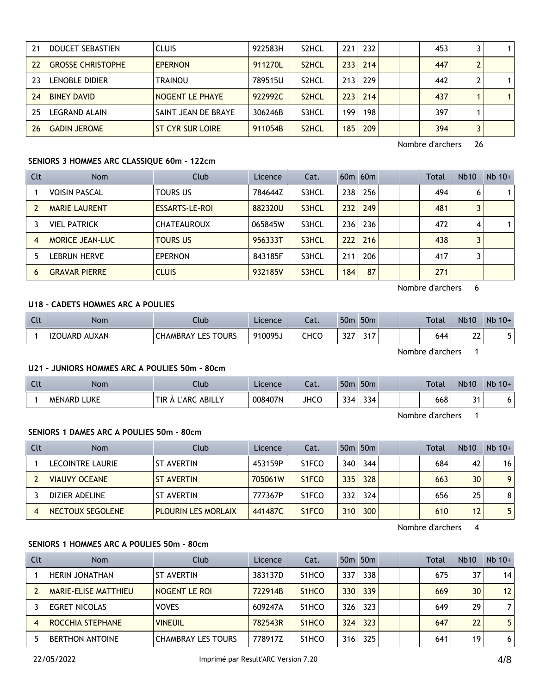| 21 | DOUCET SEBASTIEN         | <b>CLUIS</b>            | 922583H | S <sub>2</sub> HCL | 221 | 232 |  | 453 |              |
|----|--------------------------|-------------------------|---------|--------------------|-----|-----|--|-----|--------------|
| 22 | <b>GROSSE CHRISTOPHE</b> | <b>EPERNON</b>          | 911270L | S <sub>2</sub> HCL | 233 | 214 |  | 447 |              |
| 23 | LENOBLE DIDIER           | TRAINOU                 | 789515U | S <sub>2</sub> HCL | 213 | 229 |  | 442 | 1            |
| 24 | <b>BINEY DAVID</b>       | NOGENT LE PHAYE         | 922992C | S <sub>2</sub> HCL | 223 | 214 |  | 437 | $\mathbf{1}$ |
| 25 | LEGRAND ALAIN            | SAINT JEAN DE BRAYE     | 306246B | S3HCL              | 199 | 198 |  | 397 |              |
| 26 | <b>GADIN JEROME</b>      | <b>ST CYR SUR LOIRE</b> | 911054B | S <sub>2</sub> HCL | 185 | 209 |  | 394 |              |

## **SENIORS 3 HOMMES ARC CLASSIQUE 60m - 122cm**

| <b>Clt</b> | <b>Nom</b>           | Club               | Licence | Cat.  |     | $60m$ $60m$ |  | Total | <b>Nb10</b> | $Nb$ 10+ |
|------------|----------------------|--------------------|---------|-------|-----|-------------|--|-------|-------------|----------|
|            | <b>VOISIN PASCAL</b> | <b>TOURS US</b>    | 784644Z | S3HCL | 238 | 256         |  | 494   | 6           |          |
|            | <b>MARIE LAURENT</b> | ESSARTS-LE-ROI     | 882320U | S3HCL | 232 | 249         |  | 481   |             |          |
|            | <b>VIEL PATRICK</b>  | <b>CHATEAUROUX</b> | 065845W | S3HCL | 236 | 236         |  | 472   | 4           |          |
|            | MORICE JEAN-LUC      | <b>TOURS US</b>    | 956333T | S3HCL | 222 | 216         |  | 438   |             |          |
|            | <b>LEBRUN HERVE</b>  | <b>EPERNON</b>     | 843185F | S3HCL | 211 | 206         |  | 417   |             |          |
| 6          | <b>GRAVAR PIERRE</b> | <b>CLUIS</b>       | 932185V | S3HCL | 184 | 87          |  | 271   |             |          |

Nombre d'archers 6

## **U18 - CADETS HOMMES ARC A POULIES**

| Clt | <b>Nom</b>              | Club                                       | Licence | Lat. | 50 <sub>m</sub> | 50 <sub>m</sub> |  | <b>Total</b> | <b>Nb10</b>  | Nb<br>$10+$ |
|-----|-------------------------|--------------------------------------------|---------|------|-----------------|-----------------|--|--------------|--------------|-------------|
|     | AUXAN<br><b>IZOUARD</b> | <b>TOURS</b><br>. Les :<br><b>LHAMBRAY</b> | 910095J | CHCC | ำา=<br>JŁ.      | 247<br>، ا ب    |  | 644          | $\sim$<br>∸∸ |             |

Nombre d'archers 1

#### **U21 - JUNIORS HOMMES ARC A POULIES 50m - 80cm**

| Clt | <b>Nom</b>            | Club                                    | Licence | <u>ън</u><br>-al. | 50 <sub>m</sub> | 50 <sub>m</sub>      |  | <b>Total</b> | <b>Nb10</b>       | Nb<br>$10+$ |
|-----|-----------------------|-----------------------------------------|---------|-------------------|-----------------|----------------------|--|--------------|-------------------|-------------|
|     | LUKE<br><b>MENARD</b> | TIR.<br>ABILLY<br>L'ARC<br>$\mathbf{v}$ | 008407N | <b>JHCC</b>       | 334             | $\sim$ $\sim$<br>334 |  | 668          | $\mathbf{A}$<br>ັ | o           |

Nombre d'archers 1

## **SENIORS 1 DAMES ARC A POULIES 50m - 80cm**

| Clt | <b>Nom</b>              | Club                       | Licence | Cat.                           |     | 50 <sub>m</sub> 50 <sub>m</sub> |  | <b>Total</b> | <b>Nb10</b>     | $Nb$ 10+       |
|-----|-------------------------|----------------------------|---------|--------------------------------|-----|---------------------------------|--|--------------|-----------------|----------------|
|     | <b>LECOINTRE LAURIE</b> | <b>ST AVERTIN</b>          | 453159P | S <sub>1</sub> FCO             | 340 | 344                             |  | 684          | 42              | 16             |
|     | <b>VIAUVY OCEANE</b>    | <b>ST AVERTIN</b>          | 705061W | S <sub>1</sub> F <sub>CO</sub> | 335 | 328                             |  | 663          | 30 <sup>°</sup> | 9              |
|     | DIZIER ADELINE          | <b>ST AVERTIN</b>          | 777367P | S <sub>1</sub> FCO             | 332 | 324                             |  | 656          | 25              | 8 <sup>1</sup> |
|     | NECTOUX SEGOLENE        | <b>PLOURIN LES MORLAIX</b> | 441487C | S <sub>1</sub> FCO             | 310 | 300                             |  | 610          | 12              | 5 <sub>1</sub> |

Nombre d'archers 4

# **SENIORS 1 HOMMES ARC A POULIES 50m - 80cm**

| Clt | <b>Nom</b>             | Club                      | Licence | Cat.               |     | 50 <sub>m</sub> 50 <sub>m</sub> |  | Total | <b>Nb10</b> | $Nb$ 10+          |
|-----|------------------------|---------------------------|---------|--------------------|-----|---------------------------------|--|-------|-------------|-------------------|
|     | HERIN JONATHAN         | <b>ST AVERTIN</b>         | 383137D | S <sub>1</sub> HCO | 337 | 338                             |  | 675   | 37          | 14                |
|     | MARIE-ELISE MATTHIEU   | <b>NOGENT LE ROI</b>      | 722914B | S <sub>1</sub> HCO | 330 | 339                             |  | 669   | 30          | $12 \overline{ }$ |
|     | <b>EGRET NICOLAS</b>   | <b>VOVES</b>              | 609247A | S <sub>1</sub> HCO | 326 | 323                             |  | 649   | 29          | 7                 |
|     | ROCCHIA STEPHANE       | <b>VINEUIL</b>            | 782543R | S <sub>1</sub> HCO | 324 | 323                             |  | 647   | 22          | 5.                |
|     | <b>BERTHON ANTOINE</b> | <b>CHAMBRAY LES TOURS</b> | 778917Z | S <sub>1</sub> HCO | 316 | 325                             |  | 641   | 19          | 6                 |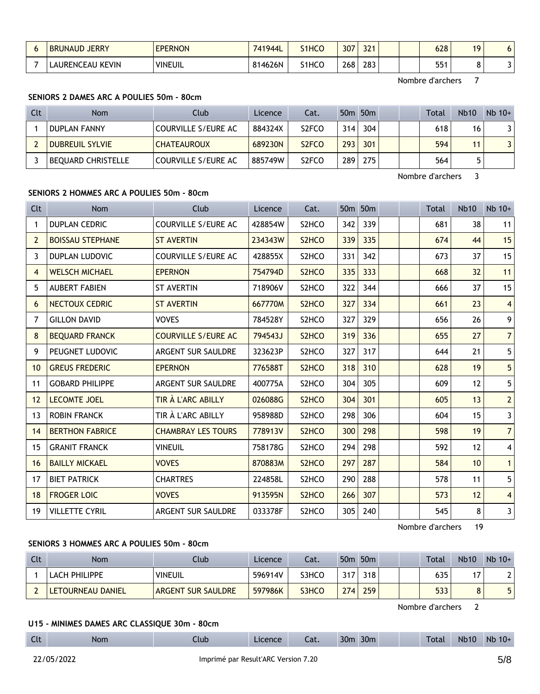| <b>JERRY</b><br><b>BRUNAUD</b> | <b>EPERNON</b> | 741944L | S <sub>1</sub> HCO | 307 | 224<br>٤٤ |  | 628 | 10 |  |
|--------------------------------|----------------|---------|--------------------|-----|-----------|--|-----|----|--|
| ' KEVIN<br>LAURENCEAU '        | <b>VINEUIL</b> | 814626N | S1HCO              | 268 | 283       |  | 551 |    |  |

## **SENIORS 2 DAMES ARC A POULIES 50m - 80cm**

| Clt | <b>Nom</b>                | <b>Club</b>         | Licence | Cat.               |                  | 50m 50m |  | <b>Total</b> | <b>Nb10</b> | $Nb$ 10+ |
|-----|---------------------------|---------------------|---------|--------------------|------------------|---------|--|--------------|-------------|----------|
|     | <b>DUPLAN FANNY</b>       | COURVILLE S/EURE AC | 884324X | S <sub>2</sub> FCO | 314 <sub>1</sub> | 304     |  | 618          | 16          |          |
|     | <b>DUBREUIL SYLVIE</b>    | <b>CHATEAUROUX</b>  | 689230N | S <sub>2</sub> FCO | 293              | 301     |  | 594          | 11          |          |
|     | <b>BEQUARD CHRISTELLE</b> | COURVILLE S/EURE AC | 885749W | S <sub>2</sub> FCO | 289              | 275     |  | 564          |             |          |

Nombre d'archers 3

## **SENIORS 2 HOMMES ARC A POULIES 50m - 80cm**

| <b>Clt</b>     | <b>Nom</b>              | Club                       | Licence | Cat.                           |     | 50m 50m |  | <b>Total</b> | <b>Nb10</b>       | $Nb$ 10+                |
|----------------|-------------------------|----------------------------|---------|--------------------------------|-----|---------|--|--------------|-------------------|-------------------------|
| 1              | <b>DUPLAN CEDRIC</b>    | <b>COURVILLE S/EURE AC</b> | 428854W | S <sub>2</sub> HC <sub>O</sub> | 342 | 339     |  | 681          | 38                | 11                      |
| $\overline{2}$ | <b>BOISSAU STEPHANE</b> | <b>ST AVERTIN</b>          | 234343W | S <sub>2</sub> HC <sub>O</sub> | 339 | 335     |  | 674          | 44                | 15                      |
| 3              | <b>DUPLAN LUDOVIC</b>   | <b>COURVILLE S/EURE AC</b> | 428855X | S <sub>2</sub> HC <sub>O</sub> | 331 | 342     |  | 673          | 37                | 15                      |
| 4              | <b>WELSCH MICHAEL</b>   | <b>EPERNON</b>             | 754794D | S <sub>2</sub> HC <sub>O</sub> | 335 | 333     |  | 668          | 32                | 11                      |
| 5              | <b>AUBERT FABIEN</b>    | <b>ST AVERTIN</b>          | 718906V | S <sub>2</sub> HC <sub>O</sub> | 322 | 344     |  | 666          | 37                | 15                      |
| 6              | NECTOUX CEDRIC          | <b>ST AVERTIN</b>          | 667770M | S <sub>2</sub> HC <sub>O</sub> | 327 | 334     |  | 661          | 23                | 4 <sup>1</sup>          |
| 7              | <b>GILLON DAVID</b>     | <b>VOVES</b>               | 784528Y | S <sub>2</sub> HC <sub>O</sub> | 327 | 329     |  | 656          | 26                | 9 <sup>1</sup>          |
| 8              | <b>BEQUARD FRANCK</b>   | <b>COURVILLE S/EURE AC</b> | 794543J | S <sub>2</sub> HCO             | 319 | 336     |  | 655          | 27                | 7                       |
| 9              | PEUGNET LUDOVIC         | ARGENT SUR SAULDRE         | 323623P | S <sub>2</sub> HC <sub>O</sub> | 327 | 317     |  | 644          | 21                | 5                       |
| 10             | <b>GREUS FREDERIC</b>   | <b>EPERNON</b>             | 776588T | S <sub>2</sub> HC <sub>O</sub> | 318 | 310     |  | 628          | 19                | 5 <sup>1</sup>          |
| 11             | <b>GOBARD PHILIPPE</b>  | <b>ARGENT SUR SAULDRE</b>  | 400775A | S <sub>2</sub> HC <sub>O</sub> | 304 | 305     |  | 609          | $12 \overline{ }$ | 5                       |
| 12             | <b>LECOMTE JOEL</b>     | TIR À L'ARC ABILLY         | 026088G | S <sub>2</sub> HC <sub>O</sub> | 304 | 301     |  | 605          | 13                | $\overline{2}$          |
| 13             | <b>ROBIN FRANCK</b>     | TIR À L'ARC ABILLY         | 958988D | S2HCO                          | 298 | 306     |  | 604          | 15                | $\overline{\mathbf{3}}$ |
| 14             | <b>BERTHON FABRICE</b>  | <b>CHAMBRAY LES TOURS</b>  | 778913V | S <sub>2</sub> HCO             | 300 | 298     |  | 598          | 19                | 7 <sup>1</sup>          |
| 15             | <b>GRANIT FRANCK</b>    | <b>VINEUIL</b>             | 758178G | S <sub>2</sub> HC <sub>O</sub> | 294 | 298     |  | 592          | 12                | $\vert$                 |
| 16             | <b>BAILLY MICKAEL</b>   | <b>VOVES</b>               | 870883M | S <sub>2</sub> HCO             | 297 | 287     |  | 584          | 10 <sup>°</sup>   | $\mathbf{1}$            |
| 17             | <b>BIET PATRICK</b>     | <b>CHARTRES</b>            | 224858L | S2HCO                          | 290 | 288     |  | 578          | 11                | 5                       |
| 18             | <b>FROGER LOIC</b>      | <b>VOVES</b>               | 913595N | S <sub>2</sub> HC <sub>O</sub> | 266 | 307     |  | 573          | 12                | $\overline{4}$          |
| 19             | <b>VILLETTE CYRIL</b>   | <b>ARGENT SUR SAULDRE</b>  | 033378F | S <sub>2</sub> HC <sub>O</sub> | 305 | 240     |  | 545          | 8                 | $3\vert$                |

Nombre d'archers 19

# **SENIORS 3 HOMMES ARC A POULIES 50m - 80cm**

| Clt | <b>Nom</b>        | Club               | Licence | Cat.  |     | 50 <sub>m</sub> 50 <sub>m</sub> |  | Total | <b>Nb10</b> | $Nb$ 10+ |
|-----|-------------------|--------------------|---------|-------|-----|---------------------------------|--|-------|-------------|----------|
|     | LACH PHILIPPE     | <b>VINEUIL</b>     | 596914V | S3HCO | 317 | 318                             |  | 635   | די          | າເ       |
|     | LETOURNEAU DANIEL | ARGENT SUR SAULDRE | 597986K | S3HCO | 274 | 259                             |  | 533   | o           |          |

Nombre d'archers 2

#### **U15 - MINIMES DAMES ARC CLASSIQUE 30m - 80cm**

| Clt | <b>Nom</b> | Llub <sub>-</sub> | Licence | Cat. | 30 <sub>m</sub><br>30m |  | Total | <b>Nb10</b> | Nb 10+ |
|-----|------------|-------------------|---------|------|------------------------|--|-------|-------------|--------|
|-----|------------|-------------------|---------|------|------------------------|--|-------|-------------|--------|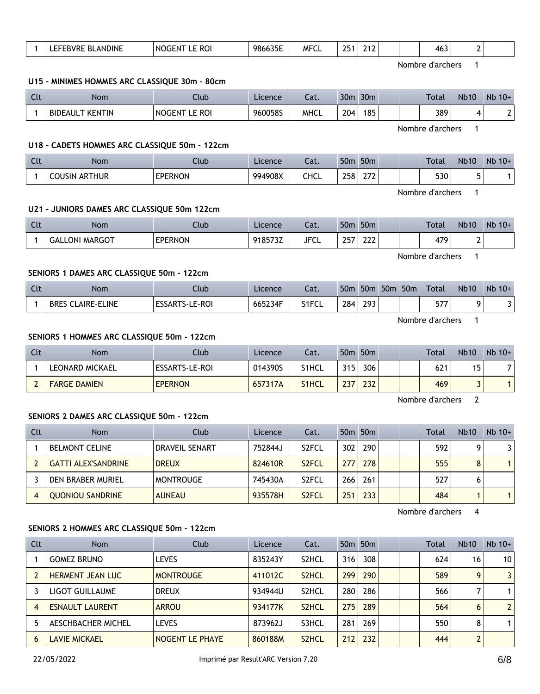| $\mathbf{1}$<br><b>EPERNON</b><br>918573Z<br><b>JFCL</b><br>257<br>222<br>479<br><b>GALLONI MARGOT</b><br>2<br>Nombre d'archers<br>$\mathbf{1}$<br>SENIORS 1 DAMES ARC CLASSIQUE 50m - 122cm<br>50m 50m 50m 50m Total<br>Clt<br><b>Nom</b><br>Club<br>Cat.<br>Nb10<br>Licence<br>284<br>665234F<br>293<br>9<br>$\mathbf{1}$<br><b>BRES CLAIRE-ELINE</b><br><b>ESSARTS-LE-ROI</b><br>S1FCL<br>577<br>Nombre d'archers<br>$\mathbf{1}$<br>SENIORS 1 HOMMES ARC CLASSIQUE 50m - 122cm<br>Clt<br>50m 50m<br>Nb10<br>Club<br><b>Nom</b><br>Licence<br>Cat.<br>Total<br>$\mathbf{1}$<br>LEONARD MICKAEL<br>ESSARTS-LE-ROI<br>315<br>306<br>014390S<br>S1HCL<br>15<br>621<br><b>EPERNON</b><br>237<br>232<br>469<br>$\overline{3}$<br>$\overline{2}$<br><b>FARGE DAMIEN</b><br>657317A<br>S <sub>1</sub> HCL<br>Nombre d'archers<br>$\overline{2}$<br>SENIORS 2 DAMES ARC CLASSIQUE 50m - 122cm<br>50m 50m<br>Clt<br>Nom<br>Club<br><b>Nb10</b><br>Cat.<br>Total<br>Licence<br>302<br><b>DRAVEIL SENART</b><br>290<br>592<br>9<br>$\mathbf{1}$<br><b>BELMONT CELINE</b><br>752844J<br>S <sub>2</sub> FCL<br>$\overline{2}$<br>S2FCL<br>277<br>278<br>555<br>8<br><b>GATTI ALEX'SANDRINE</b><br><b>DREUX</b><br>824610R<br>266<br>261<br>6<br>3<br>DEN BRABER MURIEL<br><b>MONTROUGE</b><br>745430A<br>S <sub>2</sub> FCL<br>527<br>935578H<br>S <sub>2</sub> FCL<br>251<br>233<br>$\mathbf{1}$<br>$\overline{4}$<br><b>QUONIOU SANDRINE</b><br><b>AUNEAU</b><br>484<br>Nombre d'archers<br>$\overline{4}$<br>SENIORS 2 HOMMES ARC CLASSIQUE 50m - 122cm<br>Club<br>50m 50m<br><b>Nb10</b><br>Clt<br><b>Nom</b><br>Licence<br>Cat.<br>Total<br>308<br>$\mathbf{1}$<br><b>GOMEZ BRUNO</b><br><b>LEVES</b><br>835243Y<br>316<br>S <sub>2</sub> HCL<br>624<br>16<br>9<br>299<br>290<br>$\overline{2}$<br>HERMENT JEAN LUC<br><b>MONTROUGE</b><br>411012C<br>S <sub>2</sub> HCL<br>589<br>$\overline{7}$<br>3<br>LIGOT GUILLAUME<br><b>DREUX</b><br>934944U<br>S2HCL<br>280<br>286<br>566<br>275<br>289<br><b>ARROU</b><br>934177K<br>S2HCL<br>564<br>6<br>$\overline{4}$<br><b>ESNAULT LAURENT</b><br>281<br>269<br>8<br>5<br>AESCHBACHER MICHEL<br><b>LEVES</b><br>873962J<br>S3HCL<br>550<br>$\overline{2}$<br>6<br><b>LAVIE MICKAEL</b><br>NOGENT LE PHAYE<br>860188M<br>S2HCL<br>212<br>232<br>444<br>22/05/2022<br>Imprimé par Result'ARC Version 7.20 |  |  |  | <b>LICCITLE</b> | vul. |  | וווטכ וווטכ |  |  | 1 Ocac | $\overline{\phantom{a}}$ | $\blacksquare$ |
|--------------------------------------------------------------------------------------------------------------------------------------------------------------------------------------------------------------------------------------------------------------------------------------------------------------------------------------------------------------------------------------------------------------------------------------------------------------------------------------------------------------------------------------------------------------------------------------------------------------------------------------------------------------------------------------------------------------------------------------------------------------------------------------------------------------------------------------------------------------------------------------------------------------------------------------------------------------------------------------------------------------------------------------------------------------------------------------------------------------------------------------------------------------------------------------------------------------------------------------------------------------------------------------------------------------------------------------------------------------------------------------------------------------------------------------------------------------------------------------------------------------------------------------------------------------------------------------------------------------------------------------------------------------------------------------------------------------------------------------------------------------------------------------------------------------------------------------------------------------------------------------------------------------------------------------------------------------------------------------------------------------------------------------------------------------------------------------------------------------------------------------------------------------------------------------------------------------------------------------------------------------------------------------------------------------------------------------------------|--|--|--|-----------------|------|--|-------------|--|--|--------|--------------------------|----------------|
|                                                                                                                                                                                                                                                                                                                                                                                                                                                                                                                                                                                                                                                                                                                                                                                                                                                                                                                                                                                                                                                                                                                                                                                                                                                                                                                                                                                                                                                                                                                                                                                                                                                                                                                                                                                                                                                                                                                                                                                                                                                                                                                                                                                                                                                                                                                                                  |  |  |  |                 |      |  |             |  |  |        |                          |                |
|                                                                                                                                                                                                                                                                                                                                                                                                                                                                                                                                                                                                                                                                                                                                                                                                                                                                                                                                                                                                                                                                                                                                                                                                                                                                                                                                                                                                                                                                                                                                                                                                                                                                                                                                                                                                                                                                                                                                                                                                                                                                                                                                                                                                                                                                                                                                                  |  |  |  |                 |      |  |             |  |  |        |                          |                |
|                                                                                                                                                                                                                                                                                                                                                                                                                                                                                                                                                                                                                                                                                                                                                                                                                                                                                                                                                                                                                                                                                                                                                                                                                                                                                                                                                                                                                                                                                                                                                                                                                                                                                                                                                                                                                                                                                                                                                                                                                                                                                                                                                                                                                                                                                                                                                  |  |  |  |                 |      |  |             |  |  |        |                          |                |
|                                                                                                                                                                                                                                                                                                                                                                                                                                                                                                                                                                                                                                                                                                                                                                                                                                                                                                                                                                                                                                                                                                                                                                                                                                                                                                                                                                                                                                                                                                                                                                                                                                                                                                                                                                                                                                                                                                                                                                                                                                                                                                                                                                                                                                                                                                                                                  |  |  |  |                 |      |  |             |  |  |        |                          | Nb 10+         |
|                                                                                                                                                                                                                                                                                                                                                                                                                                                                                                                                                                                                                                                                                                                                                                                                                                                                                                                                                                                                                                                                                                                                                                                                                                                                                                                                                                                                                                                                                                                                                                                                                                                                                                                                                                                                                                                                                                                                                                                                                                                                                                                                                                                                                                                                                                                                                  |  |  |  |                 |      |  |             |  |  |        |                          | $\mathbf{3}$   |
|                                                                                                                                                                                                                                                                                                                                                                                                                                                                                                                                                                                                                                                                                                                                                                                                                                                                                                                                                                                                                                                                                                                                                                                                                                                                                                                                                                                                                                                                                                                                                                                                                                                                                                                                                                                                                                                                                                                                                                                                                                                                                                                                                                                                                                                                                                                                                  |  |  |  |                 |      |  |             |  |  |        |                          |                |
|                                                                                                                                                                                                                                                                                                                                                                                                                                                                                                                                                                                                                                                                                                                                                                                                                                                                                                                                                                                                                                                                                                                                                                                                                                                                                                                                                                                                                                                                                                                                                                                                                                                                                                                                                                                                                                                                                                                                                                                                                                                                                                                                                                                                                                                                                                                                                  |  |  |  |                 |      |  |             |  |  |        |                          |                |
|                                                                                                                                                                                                                                                                                                                                                                                                                                                                                                                                                                                                                                                                                                                                                                                                                                                                                                                                                                                                                                                                                                                                                                                                                                                                                                                                                                                                                                                                                                                                                                                                                                                                                                                                                                                                                                                                                                                                                                                                                                                                                                                                                                                                                                                                                                                                                  |  |  |  |                 |      |  |             |  |  |        |                          | Nb 10+         |
|                                                                                                                                                                                                                                                                                                                                                                                                                                                                                                                                                                                                                                                                                                                                                                                                                                                                                                                                                                                                                                                                                                                                                                                                                                                                                                                                                                                                                                                                                                                                                                                                                                                                                                                                                                                                                                                                                                                                                                                                                                                                                                                                                                                                                                                                                                                                                  |  |  |  |                 |      |  |             |  |  |        |                          | 7              |
|                                                                                                                                                                                                                                                                                                                                                                                                                                                                                                                                                                                                                                                                                                                                                                                                                                                                                                                                                                                                                                                                                                                                                                                                                                                                                                                                                                                                                                                                                                                                                                                                                                                                                                                                                                                                                                                                                                                                                                                                                                                                                                                                                                                                                                                                                                                                                  |  |  |  |                 |      |  |             |  |  |        |                          | $\overline{1}$ |
|                                                                                                                                                                                                                                                                                                                                                                                                                                                                                                                                                                                                                                                                                                                                                                                                                                                                                                                                                                                                                                                                                                                                                                                                                                                                                                                                                                                                                                                                                                                                                                                                                                                                                                                                                                                                                                                                                                                                                                                                                                                                                                                                                                                                                                                                                                                                                  |  |  |  |                 |      |  |             |  |  |        |                          |                |
|                                                                                                                                                                                                                                                                                                                                                                                                                                                                                                                                                                                                                                                                                                                                                                                                                                                                                                                                                                                                                                                                                                                                                                                                                                                                                                                                                                                                                                                                                                                                                                                                                                                                                                                                                                                                                                                                                                                                                                                                                                                                                                                                                                                                                                                                                                                                                  |  |  |  |                 |      |  |             |  |  |        |                          |                |
|                                                                                                                                                                                                                                                                                                                                                                                                                                                                                                                                                                                                                                                                                                                                                                                                                                                                                                                                                                                                                                                                                                                                                                                                                                                                                                                                                                                                                                                                                                                                                                                                                                                                                                                                                                                                                                                                                                                                                                                                                                                                                                                                                                                                                                                                                                                                                  |  |  |  |                 |      |  |             |  |  |        |                          | Nb 10+         |
|                                                                                                                                                                                                                                                                                                                                                                                                                                                                                                                                                                                                                                                                                                                                                                                                                                                                                                                                                                                                                                                                                                                                                                                                                                                                                                                                                                                                                                                                                                                                                                                                                                                                                                                                                                                                                                                                                                                                                                                                                                                                                                                                                                                                                                                                                                                                                  |  |  |  |                 |      |  |             |  |  |        |                          | 3              |
|                                                                                                                                                                                                                                                                                                                                                                                                                                                                                                                                                                                                                                                                                                                                                                                                                                                                                                                                                                                                                                                                                                                                                                                                                                                                                                                                                                                                                                                                                                                                                                                                                                                                                                                                                                                                                                                                                                                                                                                                                                                                                                                                                                                                                                                                                                                                                  |  |  |  |                 |      |  |             |  |  |        |                          | $\mathbf{1}$   |
|                                                                                                                                                                                                                                                                                                                                                                                                                                                                                                                                                                                                                                                                                                                                                                                                                                                                                                                                                                                                                                                                                                                                                                                                                                                                                                                                                                                                                                                                                                                                                                                                                                                                                                                                                                                                                                                                                                                                                                                                                                                                                                                                                                                                                                                                                                                                                  |  |  |  |                 |      |  |             |  |  |        |                          |                |
|                                                                                                                                                                                                                                                                                                                                                                                                                                                                                                                                                                                                                                                                                                                                                                                                                                                                                                                                                                                                                                                                                                                                                                                                                                                                                                                                                                                                                                                                                                                                                                                                                                                                                                                                                                                                                                                                                                                                                                                                                                                                                                                                                                                                                                                                                                                                                  |  |  |  |                 |      |  |             |  |  |        |                          | $\mathbf{1}$   |
|                                                                                                                                                                                                                                                                                                                                                                                                                                                                                                                                                                                                                                                                                                                                                                                                                                                                                                                                                                                                                                                                                                                                                                                                                                                                                                                                                                                                                                                                                                                                                                                                                                                                                                                                                                                                                                                                                                                                                                                                                                                                                                                                                                                                                                                                                                                                                  |  |  |  |                 |      |  |             |  |  |        |                          |                |
|                                                                                                                                                                                                                                                                                                                                                                                                                                                                                                                                                                                                                                                                                                                                                                                                                                                                                                                                                                                                                                                                                                                                                                                                                                                                                                                                                                                                                                                                                                                                                                                                                                                                                                                                                                                                                                                                                                                                                                                                                                                                                                                                                                                                                                                                                                                                                  |  |  |  |                 |      |  |             |  |  |        |                          |                |
|                                                                                                                                                                                                                                                                                                                                                                                                                                                                                                                                                                                                                                                                                                                                                                                                                                                                                                                                                                                                                                                                                                                                                                                                                                                                                                                                                                                                                                                                                                                                                                                                                                                                                                                                                                                                                                                                                                                                                                                                                                                                                                                                                                                                                                                                                                                                                  |  |  |  |                 |      |  |             |  |  |        |                          | Nb 10+         |
|                                                                                                                                                                                                                                                                                                                                                                                                                                                                                                                                                                                                                                                                                                                                                                                                                                                                                                                                                                                                                                                                                                                                                                                                                                                                                                                                                                                                                                                                                                                                                                                                                                                                                                                                                                                                                                                                                                                                                                                                                                                                                                                                                                                                                                                                                                                                                  |  |  |  |                 |      |  |             |  |  |        |                          | 10             |
|                                                                                                                                                                                                                                                                                                                                                                                                                                                                                                                                                                                                                                                                                                                                                                                                                                                                                                                                                                                                                                                                                                                                                                                                                                                                                                                                                                                                                                                                                                                                                                                                                                                                                                                                                                                                                                                                                                                                                                                                                                                                                                                                                                                                                                                                                                                                                  |  |  |  |                 |      |  |             |  |  |        |                          | $\overline{3}$ |
|                                                                                                                                                                                                                                                                                                                                                                                                                                                                                                                                                                                                                                                                                                                                                                                                                                                                                                                                                                                                                                                                                                                                                                                                                                                                                                                                                                                                                                                                                                                                                                                                                                                                                                                                                                                                                                                                                                                                                                                                                                                                                                                                                                                                                                                                                                                                                  |  |  |  |                 |      |  |             |  |  |        |                          | $\mathbf{1}$   |
|                                                                                                                                                                                                                                                                                                                                                                                                                                                                                                                                                                                                                                                                                                                                                                                                                                                                                                                                                                                                                                                                                                                                                                                                                                                                                                                                                                                                                                                                                                                                                                                                                                                                                                                                                                                                                                                                                                                                                                                                                                                                                                                                                                                                                                                                                                                                                  |  |  |  |                 |      |  |             |  |  |        |                          | $\overline{2}$ |
|                                                                                                                                                                                                                                                                                                                                                                                                                                                                                                                                                                                                                                                                                                                                                                                                                                                                                                                                                                                                                                                                                                                                                                                                                                                                                                                                                                                                                                                                                                                                                                                                                                                                                                                                                                                                                                                                                                                                                                                                                                                                                                                                                                                                                                                                                                                                                  |  |  |  |                 |      |  |             |  |  |        |                          | $\mathbf{1}$   |
|                                                                                                                                                                                                                                                                                                                                                                                                                                                                                                                                                                                                                                                                                                                                                                                                                                                                                                                                                                                                                                                                                                                                                                                                                                                                                                                                                                                                                                                                                                                                                                                                                                                                                                                                                                                                                                                                                                                                                                                                                                                                                                                                                                                                                                                                                                                                                  |  |  |  |                 |      |  |             |  |  |        |                          |                |
|                                                                                                                                                                                                                                                                                                                                                                                                                                                                                                                                                                                                                                                                                                                                                                                                                                                                                                                                                                                                                                                                                                                                                                                                                                                                                                                                                                                                                                                                                                                                                                                                                                                                                                                                                                                                                                                                                                                                                                                                                                                                                                                                                                                                                                                                                                                                                  |  |  |  |                 |      |  |             |  |  |        |                          | 6/8            |
|                                                                                                                                                                                                                                                                                                                                                                                                                                                                                                                                                                                                                                                                                                                                                                                                                                                                                                                                                                                                                                                                                                                                                                                                                                                                                                                                                                                                                                                                                                                                                                                                                                                                                                                                                                                                                                                                                                                                                                                                                                                                                                                                                                                                                                                                                                                                                  |  |  |  |                 |      |  |             |  |  |        |                          |                |

| Clt | Nom                          | Jub            | Licence | Cat. | 50 <sub>m</sub> | 50 <sub>m</sub>             |  | Total | <b>Nb10</b> | <b>Nb</b><br>$10+$ |
|-----|------------------------------|----------------|---------|------|-----------------|-----------------------------|--|-------|-------------|--------------------|
|     | THUR<br>ART<br><b>COUSIN</b> | <b>EPERNON</b> | 994908X | CHCL | 258             | $\sim$ $\sim$ $\sim$<br>LIL |  | 530   | -           |                    |

#### **U21 - JUNIORS DAMES ARC CLASSIQUE 50m 122cm**

**U15 - MINIMES HOMMES ARC CLASSIQUE 30m - 80cm**

**U18 - CADETS HOMMES ARC CLASSIQUE 50m - 122cm**

| Clt | <b>Nom</b>            | Club           | Licence | Cat.        | 50 <sub>m</sub> | 50 <sub>m</sub> |  | Total | <b>Nb10</b> | $Nb$ 10+ |
|-----|-----------------------|----------------|---------|-------------|-----------------|-----------------|--|-------|-------------|----------|
|     | <b>GALLONI MARGOT</b> | <b>EPERNON</b> | 918573Z | <b>JFCL</b> | 257             | $\sim$<br>୵୵୵   |  | 479   | <b>_</b>    |          |

# 1 LEFEBVRE BLANDINE NOGENT LE ROI 986635E MFCL 251 212 | 463 2

Clt Nom Club Licence Cat. 30m 30m Total Nb10 Nb 10+ 1 BIDEAULT KENTIN NOGENT LE ROI 960058S MHCL 204 185 389 4 2

Nombre d'archers 1

Nombre d'archers 1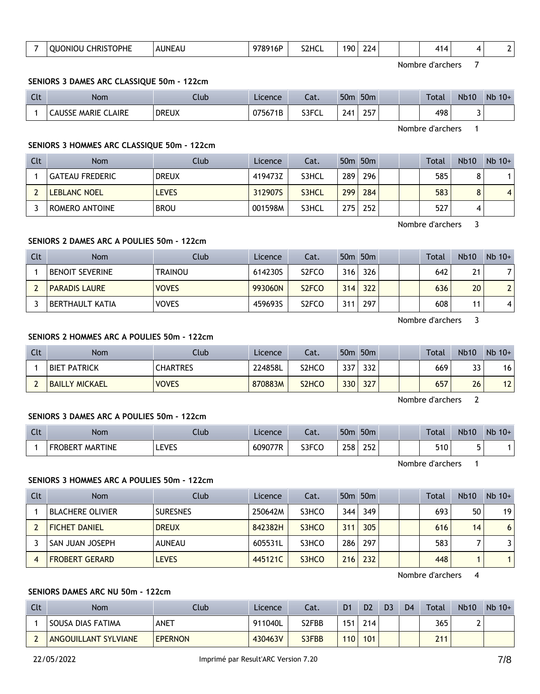| S <sub>2</sub> HCI<br>o<br>UNF<br>ו ו<br><b>OPHE</b><br>16F<br>٦K<br>/⊿<br>AU<br>$\cdots$<br>71<br>. .<br>--<br>____<br>____<br>the contract of the contract of |
|-----------------------------------------------------------------------------------------------------------------------------------------------------------------|
|-----------------------------------------------------------------------------------------------------------------------------------------------------------------|

#### **SENIORS 3 DAMES ARC CLASSIQUE 50m - 122cm**

| $\sim$<br>นเ | <b>Nom</b>                 | Club         | Licence | ำ~<br>Lal. | 50 <sub>m</sub> | 50 <sub>m</sub> |  | <b>Total</b> | <b>Nb10</b> | Nb<br>$10+$ |
|--------------|----------------------------|--------------|---------|------------|-----------------|-----------------|--|--------------|-------------|-------------|
|              | <b>CAUSSE MARIE CLAIRE</b> | <b>DREUX</b> | 075671B | S3FCL      | 241             | つらつ<br>LJ       |  | 498          |             |             |

Nombre d'archers 1

## **SENIORS 3 HOMMES ARC CLASSIQUE 50m - 122cm**

| Clt | <b>Nom</b>          | Club         | Licence | Cat.  |     | 50 <sub>m</sub> 50 <sub>m</sub> |  | Total | <b>Nb10</b> | $Nb$ 10+ |
|-----|---------------------|--------------|---------|-------|-----|---------------------------------|--|-------|-------------|----------|
|     | GATEAU FREDERIC     | <b>DREUX</b> | 419473Z | S3HCL | 289 | 296                             |  | 585   |             |          |
|     | <b>LEBLANC NOEL</b> | <b>LEVES</b> | 312907S | S3HCL | 299 | 284                             |  | 583   | $\circ$     | 4        |
|     | ROMERO ANTOINE      | <b>BROU</b>  | 001598M | S3HCL | 275 | 252                             |  | 527   |             |          |

Nombre d'archers 3

## **SENIORS 2 DAMES ARC A POULIES 50m - 122cm**

| Clt | <b>Nom</b>             | Club           | Licence | Cat.               |     | 50 <sub>m</sub> 50 <sub>m</sub> |  | Total | <b>Nb10</b> | $Nb$ 10+       |
|-----|------------------------|----------------|---------|--------------------|-----|---------------------------------|--|-------|-------------|----------------|
|     | <b>BENOIT SEVERINE</b> | <b>TRAINOU</b> | 614230S | S <sub>2</sub> FCO | 316 | 326                             |  | 642   | 21          | 71             |
|     | <b>PARADIS LAURE</b>   | <b>VOVES</b>   | 993060N | S <sub>2</sub> FCO | 314 | 322                             |  | 636   | 20          | 2 <sup>1</sup> |
|     | BERTHAULT KATIA        | <b>VOVES</b>   | 459693S | S <sub>2</sub> FCO | 311 | 297                             |  | 608   | 11          |                |

Nombre d'archers 3

## **SENIORS 2 HOMMES ARC A POULIES 50m - 122cm**

| Clt | <b>Nom</b>            | Club            | <b>Licence</b> | Cat.               |     | 50 <sub>m</sub> 50 <sub>m</sub> |  | Total | <b>Nb10</b> | $Nb$ 10+ |
|-----|-----------------------|-----------------|----------------|--------------------|-----|---------------------------------|--|-------|-------------|----------|
|     | <b>BIET PATRICK</b>   | <b>CHARTRES</b> | 224858L        | S2HCO              | 337 | 332                             |  | 669   | 33          | 16       |
|     | <b>BAILLY MICKAEL</b> | <b>VOVES</b>    | 870883M        | S <sub>2</sub> HCO | 330 | 327                             |  | 657   | 26          | 12       |

Nombre d'archers 2

#### **SENIORS 3 DAMES ARC A POULIES 50m - 122cm**

| Clt | <b>Nom</b>                     | Ilub              | Licence | $\sim$<br>cal. | 50n           | 50 <sub>m</sub>     |  | <b>Total</b> | <b>Nb10</b>                   | <b>Nb</b><br>$10+$ |
|-----|--------------------------------|-------------------|---------|----------------|---------------|---------------------|--|--------------|-------------------------------|--------------------|
|     | <b>MARTINE</b><br>FR(<br>.)RFR | <b>EVEC</b><br>ᄔັ | 609077R | S3FCC          | 258<br>$\sim$ | oro.<br>LJL<br>$ -$ |  | 510          | $\overline{\phantom{0}}$<br>۔ |                    |

Nombre d'archers 1

## **SENIORS 3 HOMMES ARC A POULIES 50m - 122cm**

| Clt | <b>Nom</b>              | Club            | <b>Licence</b> | Cat.  |     | 50 <sub>m</sub> 50 <sub>m</sub> |  | Total | <b>Nb10</b> | $Nb$ 10+ |
|-----|-------------------------|-----------------|----------------|-------|-----|---------------------------------|--|-------|-------------|----------|
|     | <b>BLACHERE OLIVIER</b> | <b>SURESNES</b> | 250642M        | S3HCO | 344 | 349                             |  | 693   | 50          | 19       |
|     | <b>FICHET DANIEL</b>    | <b>DREUX</b>    | 842382H        | S3HCO | 311 | 305                             |  | 616   | 14          | 6        |
|     | SAN JUAN JOSEPH         | <b>AUNEAU</b>   | 605531L        | S3HCO | 286 | 297                             |  | 583   |             | 3.       |
|     | <b>FROBERT GERARD</b>   | <b>LEVES</b>    | 445121C        | S3HCO | 216 | 232                             |  | 448   |             | 1        |

Nombre d'archers 4

## **SENIORS DAMES ARC NU 50m - 122cm**

| Clt | Nom                  | <b>Club</b>    | Licence | Cat.  | D <sub>1</sub> | D <sub>2</sub>   | D <sub>3</sub> | D <sub>4</sub> | Total | <b>Nb10</b> | $Nb$ 10+ |
|-----|----------------------|----------------|---------|-------|----------------|------------------|----------------|----------------|-------|-------------|----------|
|     | SOUSA DIAS FATIMA    | ANET           | 911040L | S2FBB | 151            | 214 <sub>1</sub> |                |                | 365   |             |          |
|     | ANGOUILLANT SYLVIANE | <b>EPERNON</b> | 430463V | S3FBB | 110            | 101              |                |                | 211   |             |          |